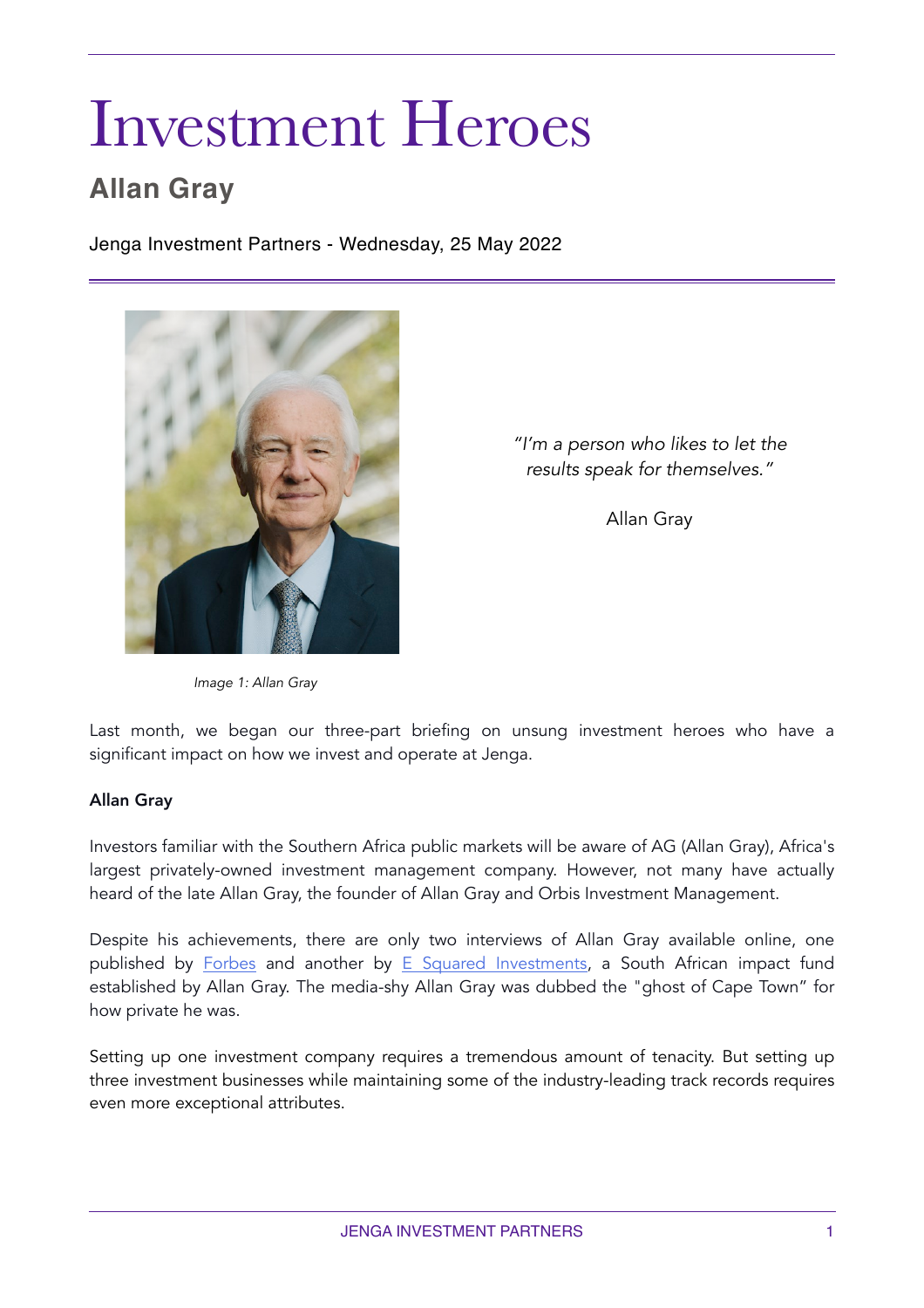# Investment Heroes

# **Allan Gray**

Jenga Investment Partners - Wednesday, 25 May 2022



*"I'm a person who likes to let the results speak for themselves."* 

Allan Gray

*Image 1: Allan Gray*

Last month, we began our three-part briefing on unsung investment heroes who have a significant impact on how we invest and operate at Jenga.

#### Allan Gray

Investors familiar with the Southern Africa public markets will be aware of AG (Allan Gray), Africa's largest privately-owned investment management company. However, not many have actually heard of the late Allan Gray, the founder of Allan Gray and Orbis Investment Management.

Despite his achievements, there are only two interviews of Allan Gray available online, one published by [Forbes](https://www.forbes.com/global/2001/0820/036.html?sh=6cebabee6357) and another by [E Squared Investments](https://www.youtube.com/watch?v=5UXA7ou927Q), a South African impact fund established by Allan Gray. The media-shy Allan Gray was dubbed the "ghost of Cape Town" for how private he was.

Setting up one investment company requires a tremendous amount of tenacity. But setting up three investment businesses while maintaining some of the industry-leading track records requires even more exceptional attributes.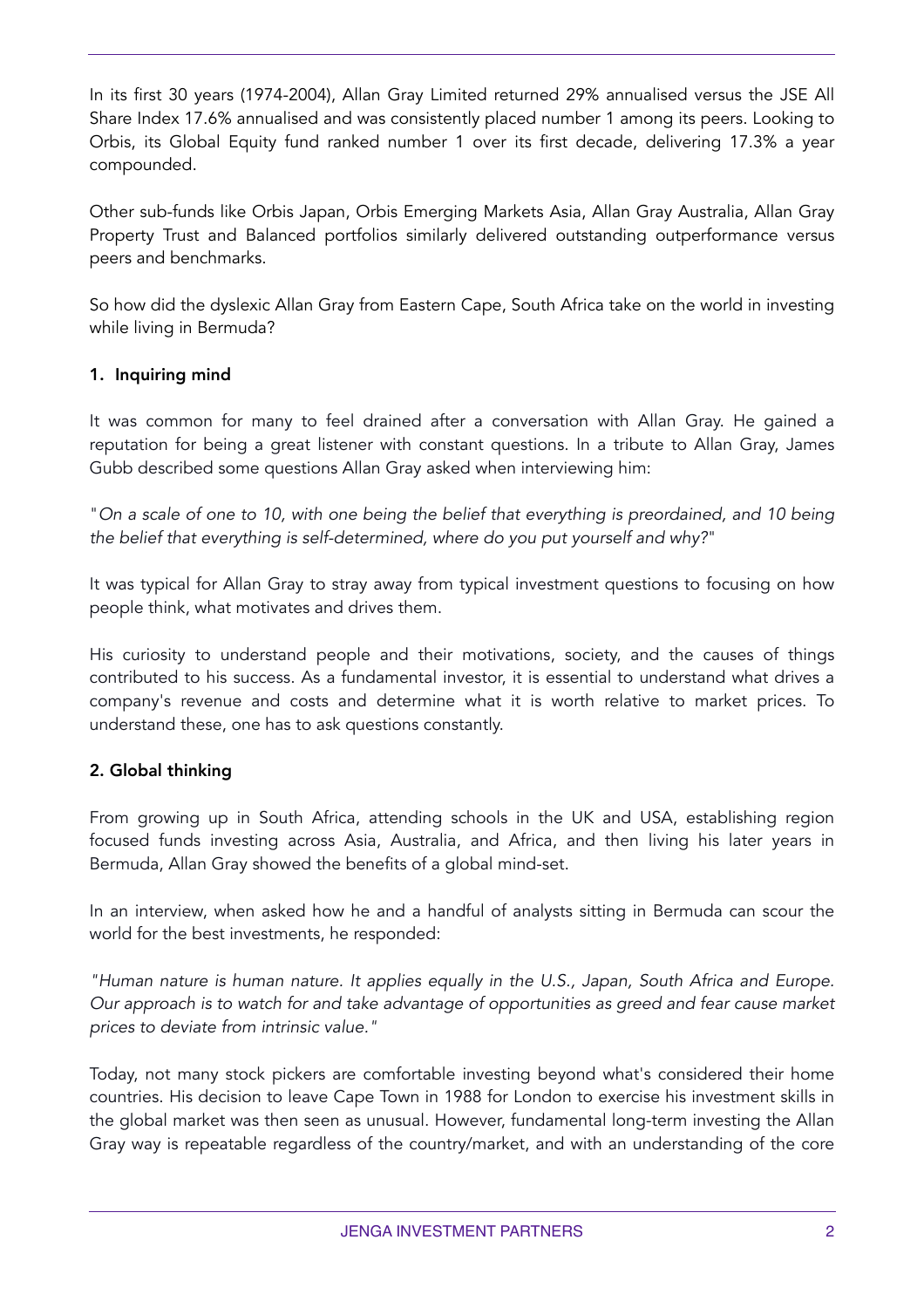In its first 30 years (1974-2004), Allan Gray Limited returned 29% annualised versus the JSE All Share Index 17.6% annualised and was consistently placed number 1 among its peers. Looking to Orbis, its Global Equity fund ranked number 1 over its first decade, delivering 17.3% a year compounded.

Other sub-funds like Orbis Japan, Orbis Emerging Markets Asia, Allan Gray Australia, Allan Gray Property Trust and Balanced portfolios similarly delivered outstanding outperformance versus peers and benchmarks.

So how did the dyslexic Allan Gray from Eastern Cape, South Africa take on the world in investing while living in Bermuda?

## 1. Inquiring mind

It was common for many to feel drained after a conversation with Allan Gray. He gained a reputation for being a great listener with constant questions. In a tribute to Allan Gray, James Gubb described some questions Allan Gray asked when interviewing him:

"*On a scale of one to 10, with one being the belief that everything is preordained, and 10 being the belief that everything is self-determined, where do you put yourself and why?*"

It was typical for Allan Gray to stray away from typical investment questions to focusing on how people think, what motivates and drives them.

His curiosity to understand people and their motivations, society, and the causes of things contributed to his success. As a fundamental investor, it is essential to understand what drives a company's revenue and costs and determine what it is worth relative to market prices. To understand these, one has to ask questions constantly.

## 2. Global thinking

From growing up in South Africa, attending schools in the UK and USA, establishing region focused funds investing across Asia, Australia, and Africa, and then living his later years in Bermuda, Allan Gray showed the benefits of a global mind-set.

In an interview, when asked how he and a handful of analysts sitting in Bermuda can scour the world for the best investments, he responded:

*"Human nature is human nature. It applies equally in the U.S., Japan, South Africa and Europe. Our approach is to watch for and take advantage of opportunities as greed and fear cause market prices to deviate from intrinsic value."* 

Today, not many stock pickers are comfortable investing beyond what's considered their home countries. His decision to leave Cape Town in 1988 for London to exercise his investment skills in the global market was then seen as unusual. However, fundamental long-term investing the Allan Gray way is repeatable regardless of the country/market, and with an understanding of the core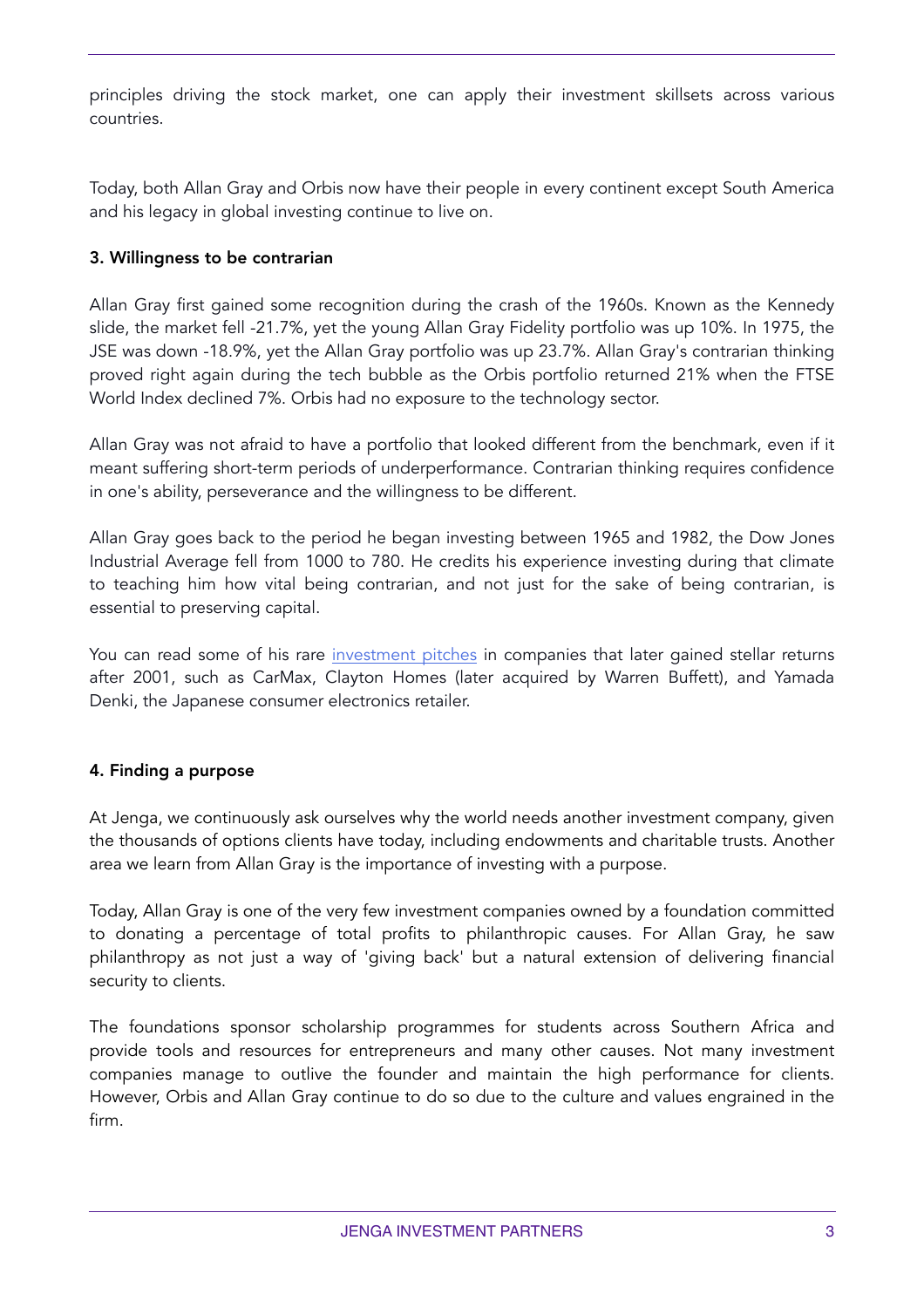principles driving the stock market, one can apply their investment skillsets across various countries.

Today, both Allan Gray and Orbis now have their people in every continent except South America and his legacy in global investing continue to live on.

#### 3. Willingness to be contrarian

Allan Gray first gained some recognition during the crash of the 1960s. Known as the Kennedy slide, the market fell -21.7%, yet the young Allan Gray Fidelity portfolio was up 10%. In 1975, the JSE was down -18.9%, yet the Allan Gray portfolio was up 23.7%. Allan Gray's contrarian thinking proved right again during the tech bubble as the Orbis portfolio returned 21% when the FTSE World Index declined 7%. Orbis had no exposure to the technology sector.

Allan Gray was not afraid to have a portfolio that looked different from the benchmark, even if it meant suffering short-term periods of underperformance. Contrarian thinking requires confidence in one's ability, perseverance and the willingness to be different.

Allan Gray goes back to the period he began investing between 1965 and 1982, the Dow Jones Industrial Average fell from 1000 to 780. He credits his experience investing during that climate to teaching him how vital being contrarian, and not just for the sake of being contrarian, is essential to preserving capital.

You can read some of his rare [investment pitches](https://www.forbes.com/global/2001/0820/036.html?sh=6cebabee6357) in companies that later gained stellar returns after 2001, such as CarMax, Clayton Homes (later acquired by Warren Buffett), and Yamada Denki, the Japanese consumer electronics retailer.

#### 4. Finding a purpose

At Jenga, we continuously ask ourselves why the world needs another investment company, given the thousands of options clients have today, including endowments and charitable trusts. Another area we learn from Allan Gray is the importance of investing with a purpose.

Today, Allan Gray is one of the very few investment companies owned by a foundation committed to donating a percentage of total profits to philanthropic causes. For Allan Gray, he saw philanthropy as not just a way of 'giving back' but a natural extension of delivering financial security to clients.

The foundations sponsor scholarship programmes for students across Southern Africa and provide tools and resources for entrepreneurs and many other causes. Not many investment companies manage to outlive the founder and maintain the high performance for clients. However, Orbis and Allan Gray continue to do so due to the culture and values engrained in the firm.